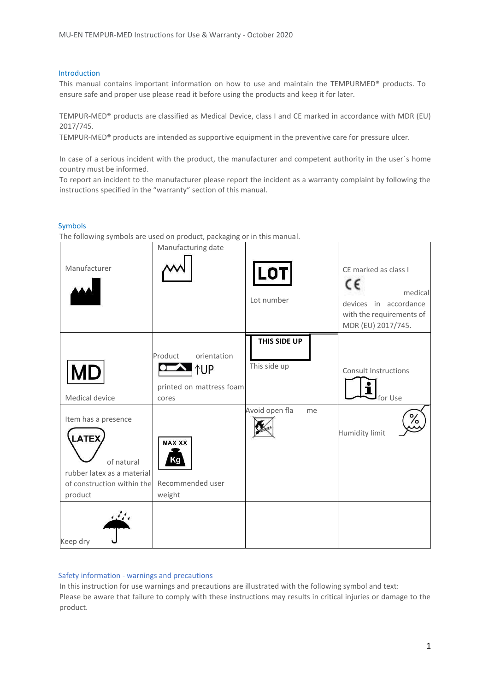#### Introduction

This manual contains important information on how to use and maintain the TEMPURMED® products. To ensure safe and proper use please read it before using the products and keep it for later.

TEMPUR-MED® products are classified as Medical Device, class I and CE marked in accordance with MDR (EU) 2017/745.

TEMPUR-MED® products are intended as supportive equipment in the preventive care for pressure ulcer.

In case of a serious incident with the product, the manufacturer and competent authority in the user´s home country must be informed.

To report an incident to the manufacturer please report the incident as a warranty complaint by following the instructions specified in the "warranty" section of this manual.

#### Symbols

The following symbols are used on product, packaging or in this manual.

| Manufacturer                                                                                                             | Manufacturing date                                                        | <b>LOT</b><br>Lot number     | CE marked as class I<br>c٤<br>medical<br>devices in accordance<br>with the requirements of<br>MDR (EU) 2017/745. |
|--------------------------------------------------------------------------------------------------------------------------|---------------------------------------------------------------------------|------------------------------|------------------------------------------------------------------------------------------------------------------|
| <b>MD</b><br>Medical device                                                                                              | orientation<br>Product<br><b>↑UP</b><br>printed on mattress foam<br>cores | THIS SIDE UP<br>This side up | <b>Consult Instructions</b><br>for Use                                                                           |
| Item has a presence<br><b>LATEX</b><br>of natural<br>rubber latex as a material<br>of construction within the<br>product | <b>MAX XX</b><br>Κa<br>Recommended user<br>weight                         | Avoid open fla<br>me         | ە/<br><b>Humidity limit</b>                                                                                      |
| Keep dry                                                                                                                 |                                                                           |                              |                                                                                                                  |

#### Safety information - warnings and precautions

In this instruction for use warnings and precautions are illustrated with the following symbol and text: Please be aware that failure to comply with these instructions may results in critical injuries or damage to the product.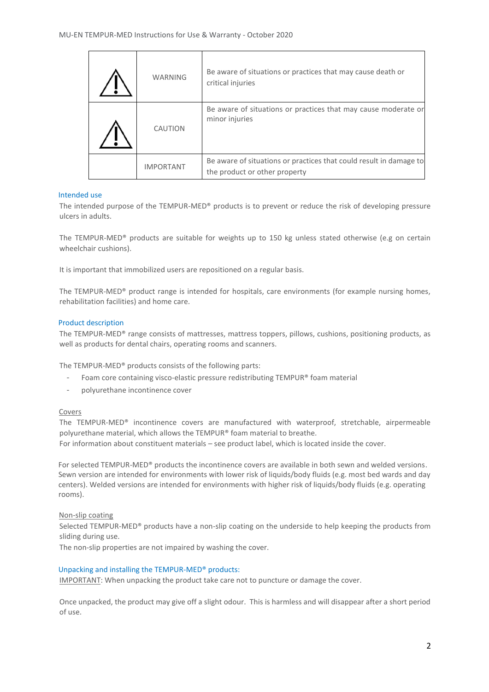| <b>WARNING</b>   | Be aware of situations or practices that may cause death or<br>critical injuries                    |
|------------------|-----------------------------------------------------------------------------------------------------|
| CAUTION          | Be aware of situations or practices that may cause moderate or<br>minor injuries                    |
| <b>IMPORTANT</b> | Be aware of situations or practices that could result in damage to<br>the product or other property |

## Intended use

Ē

The intended purpose of the TEMPUR-MED® products is to prevent or reduce the risk of developing pressure ulcers in adults.

The TEMPUR-MED® products are suitable for weights up to 150 kg unless stated otherwise (e.g on certain wheelchair cushions).

It is important that immobilized users are repositioned on a regular basis.

The TEMPUR-MED® product range is intended for hospitals, care environments (for example nursing homes, rehabilitation facilities) and home care.

#### Product description

The TEMPUR-MED® range consists of mattresses, mattress toppers, pillows, cushions, positioning products, as well as products for dental chairs, operating rooms and scanners.

The TEMPUR-MED® products consists of the following parts:

- Foam core containing visco-elastic pressure redistributing TEMPUR® foam material
- polyurethane incontinence cover

#### Covers

The TEMPUR-MED® incontinence covers are manufactured with waterproof, stretchable, airpermeable polyurethane material, which allows the TEMPUR® foam material to breathe. For information about constituent materials – see product label, which is located inside the cover.

For selected TEMPUR-MED® products the incontinence covers are available in both sewn and welded versions. Sewn version are intended for environments with lower risk of liquids/body fluids (e.g. most bed wards and day centers). Welded versions are intended for environments with higher risk of liquids/body fluids (e.g. operating rooms).

#### Non-slip coating

Selected TEMPUR-MED® products have a non-slip coating on the underside to help keeping the products from sliding during use.

The non-slip properties are not impaired by washing the cover.

#### Unpacking and installing the TEMPUR-MED® products:

IMPORTANT: When unpacking the product take care not to puncture or damage the cover.

Once unpacked, the product may give off a slight odour. This is harmless and will disappear after a short period of use.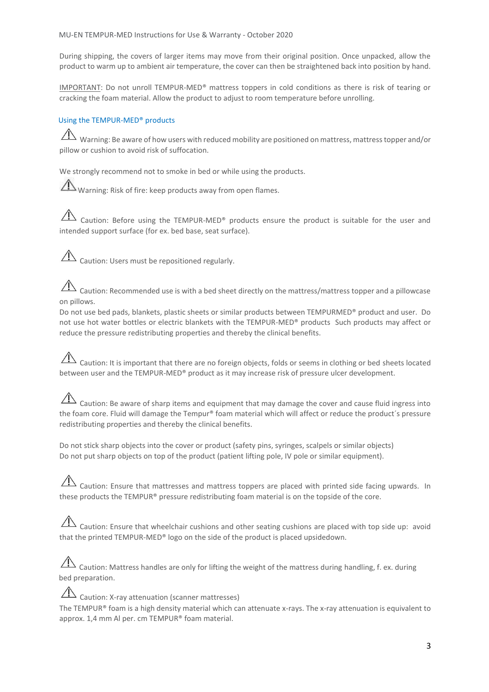During shipping, the covers of larger items may move from their original position. Once unpacked, allow the product to warm up to ambient air temperature, the cover can then be straightened back into position by hand.

IMPORTANT: Do not unroll TEMPUR-MED® mattress toppers in cold conditions as there is risk of tearing or cracking the foam material. Allow the product to adjust to room temperature before unrolling.

## Using the TEMPUR-MED® products

Warning: Be aware of how users with reduced mobility are positioned on mattress, mattress topper and/or pillow or cushion to avoid risk of suffocation.

We strongly recommend not to smoke in bed or while using the products.

Warning: Risk of fire: keep products away from open flames.

 $\overline{\mathcal{A}}$  Caution: Before using the TEMPUR-MED® products ensure the product is suitable for the user and intended support surface (for ex. bed base, seat surface).

 $\overline{\mathcal{A}}$  Caution: Users must be repositioned regularly.

Caution: Recommended use is with a bed sheet directly on the mattress/mattress topper and a pillowcase on pillows.

Do not use bed pads, blankets, plastic sheets or similar products between TEMPURMED® product and user. Do not use hot water bottles or electric blankets with the TEMPUR-MED® products Such products may affect or reduce the pressure redistributing properties and thereby the clinical benefits.

# $\overline{\triangle}$  Caution: It is important that there are no foreign objects, folds or seems in clothing or bed sheets located between user and the TEMPUR-MED® product as it may increase risk of pressure ulcer development.

 $\hat{\triangle}$  Caution: Be aware of sharp items and equipment that may damage the cover and cause fluid ingress into the foam core. Fluid will damage the Tempur® foam material which will affect or reduce the product's pressure redistributing properties and thereby the clinical benefits.

Do not stick sharp objects into the cover or product (safety pins, syringes, scalpels or similar objects) Do not put sharp objects on top of the product (patient lifting pole, IV pole or similar equipment).

 $\sqrt{12}$  Caution: Ensure that mattresses and mattress toppers are placed with printed side facing upwards. In these products the TEMPUR® pressure redistributing foam material is on the topside of the core.

 $\Box$  Caution: Ensure that wheelchair cushions and other seating cushions are placed with top side up: avoid that the printed TEMPUR-MED® logo on the side of the product is placed upsidedown.

 $\hat{A}$  Caution: Mattress handles are only for lifting the weight of the mattress during handling, f. ex. during bed preparation.

 $\overline{\Delta}$  Caution: X-ray attenuation (scanner mattresses) The TEMPUR® foam is a high density material which can attenuate x-rays. The x-ray attenuation is equivalent to approx. 1,4 mm Al per. cm TEMPUR® foam material.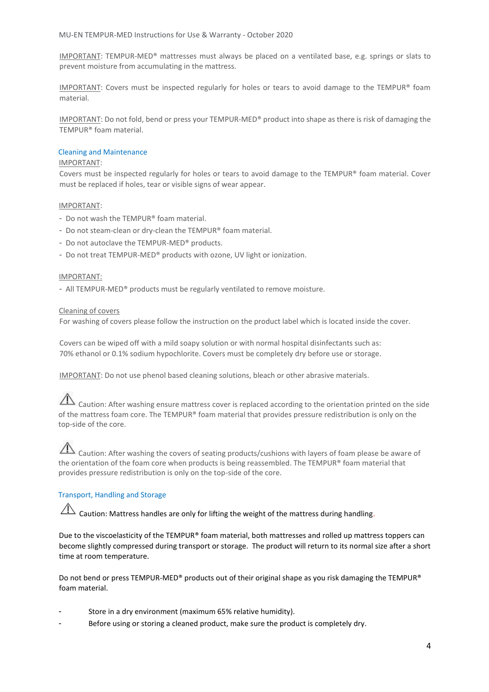IMPORTANT: TEMPUR-MED® mattresses must always be placed on a ventilated base, e.g. springs or slats to prevent moisture from accumulating in the mattress.

IMPORTANT: Covers must be inspected regularly for holes or tears to avoid damage to the TEMPUR® foam material.

IMPORTANT: Do not fold, bend or press your TEMPUR-MED® product into shape as there is risk of damaging the TEMPUR® foam material.

#### Cleaning and Maintenance

#### IMPORTANT:

Covers must be inspected regularly for holes or tears to avoid damage to the TEMPUR® foam material. Cover must be replaced if holes, tear or visible signs of wear appear.

#### IMPORTANT:

- Do not wash the TEMPUR® foam material.
- Do not steam-clean or dry-clean the TEMPUR® foam material.
- Do not autoclave the TEMPUR-MED® products.
- Do not treat TEMPUR-MED® products with ozone, UV light or ionization.

#### IMPORTANT:

- All TEMPUR-MED® products must be regularly ventilated to remove moisture.

#### Cleaning of covers

For washing of covers please follow the instruction on the product label which is located inside the cover.

Covers can be wiped off with a mild soapy solution or with normal hospital disinfectants such as: 70% ethanol or 0.1% sodium hypochlorite. Covers must be completely dry before use or storage.

IMPORTANT: Do not use phenol based cleaning solutions, bleach or other abrasive materials.

 $\Lambda$  Caution: After washing ensure mattress cover is replaced according to the orientation printed on the side of the mattress foam core. The TEMPUR® foam material that provides pressure redistribution is only on the top-side of the core.

## Caution: After washing the covers of seating products/cushions with layers of foam please be aware of the orientation of the foam core when products is being reassembled. The TEMPUR® foam material that provides pressure redistribution is only on the top-side of the core.

## Transport, Handling and Storage

 $\hat{\Lambda}$  Caution: Mattress handles are only for lifting the weight of the mattress during handling.

Due to the viscoelasticity of the TEMPUR® foam material, both mattresses and rolled up mattress toppers can become slightly compressed during transport or storage. The product will return to its normal size after a short time at room temperature.

Do not bend or press TEMPUR-MED® products out of their original shape as you risk damaging the TEMPUR® foam material.

- Store in a dry environment (maximum 65% relative humidity).
- Before using or storing a cleaned product, make sure the product is completely dry.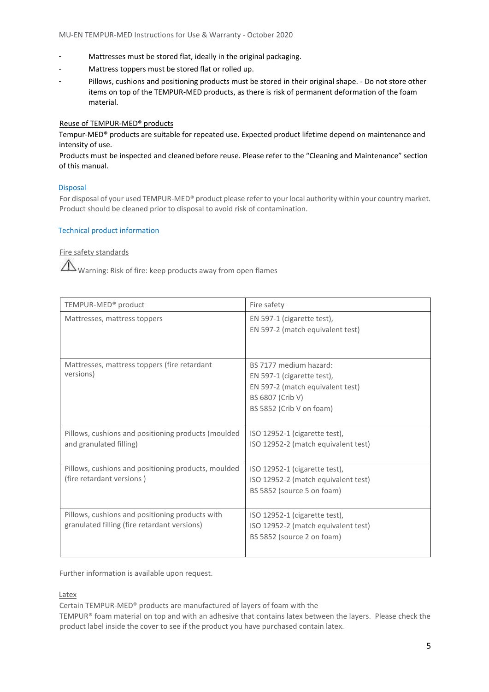- Mattresses must be stored flat, ideally in the original packaging.
- Mattress toppers must be stored flat or rolled up.
- Pillows, cushions and positioning products must be stored in their original shape. Do not store other items on top of the TEMPUR-MED products, as there is risk of permanent deformation of the foam material.

## Reuse of TEMPUR-MED® products

Tempur-MED® products are suitable for repeated use. Expected product lifetime depend on maintenance and intensity of use.

Products must be inspected and cleaned before reuse. Please refer to the "Cleaning and Maintenance" section of this manual.

### Disposal

For disposal of your used TEMPUR-MED® product please refer to your local authority within your country market. Product should be cleaned prior to disposal to avoid risk of contamination.

#### Technical product information

Fire safety standards

Warning: Risk of fire: keep products away from open flames

| TEMPUR-MED <sup>®</sup> product                                                                 | Fire safety                                                                                                                              |
|-------------------------------------------------------------------------------------------------|------------------------------------------------------------------------------------------------------------------------------------------|
| Mattresses, mattress toppers                                                                    | EN 597-1 (cigarette test),<br>EN 597-2 (match equivalent test)                                                                           |
| Mattresses, mattress toppers (fire retardant<br>versions)                                       | BS 7177 medium hazard:<br>EN 597-1 (cigarette test),<br>EN 597-2 (match equivalent test)<br>BS 6807 (Crib V)<br>BS 5852 (Crib V on foam) |
| Pillows, cushions and positioning products (moulded<br>and granulated filling)                  | ISO 12952-1 (cigarette test),<br>ISO 12952-2 (match equivalent test)                                                                     |
| Pillows, cushions and positioning products, moulded<br>(fire retardant versions)                | ISO 12952-1 (cigarette test),<br>ISO 12952-2 (match equivalent test)<br>BS 5852 (source 5 on foam)                                       |
| Pillows, cushions and positioning products with<br>granulated filling (fire retardant versions) | ISO 12952-1 (cigarette test),<br>ISO 12952-2 (match equivalent test)<br>BS 5852 (source 2 on foam)                                       |

Further information is available upon request.

Latex

Certain TEMPUR-MED® products are manufactured of layers of foam with the

TEMPUR® foam material on top and with an adhesive that contains latex between the layers. Please check the product label inside the cover to see if the product you have purchased contain latex.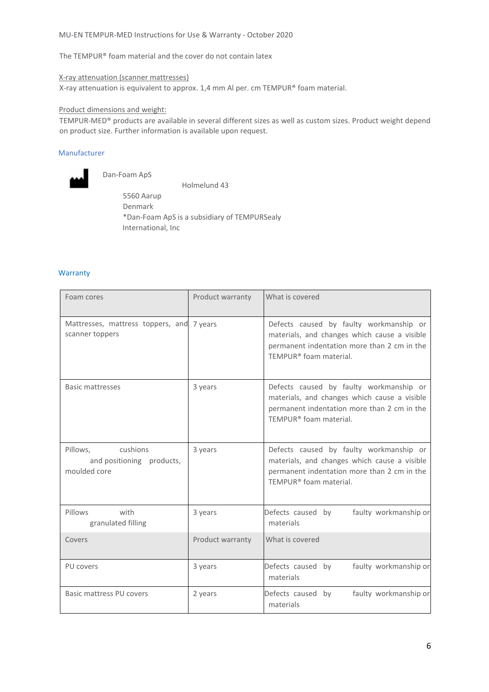#### MU-EN TEMPUR-MED Instructions for Use & Warranty - October 2020

The TEMPUR® foam material and the cover do not contain latex

X-ray attenuation (scanner mattresses)

X-ray attenuation is equivalent to approx. 1,4 mm Al per. cm TEMPUR® foam material.

#### Product dimensions and weight:

TEMPUR-MED® products are available in several different sizes as well as custom sizes. Product weight depend on product size. Further information is available upon request.

#### Manufacturer



Dan-Foam ApS

 Holmelund 43 5560 Aarup Denmark \*Dan-Foam ApS is a subsidiary of TEMPURSealy International, Inc

#### **Warranty**

| Foam cores                                                        | Product warranty | What is covered                                                                                                                                                  |
|-------------------------------------------------------------------|------------------|------------------------------------------------------------------------------------------------------------------------------------------------------------------|
| Mattresses, mattress toppers, and 7 years<br>scanner toppers      |                  | Defects caused by faulty workmanship or<br>materials, and changes which cause a visible<br>permanent indentation more than 2 cm in the<br>TEMPUR® foam material. |
| <b>Basic mattresses</b>                                           | 3 years          | Defects caused by faulty workmanship or<br>materials, and changes which cause a visible<br>permanent indentation more than 2 cm in the<br>TEMPUR® foam material. |
| Pillows.<br>cushions<br>and positioning products,<br>moulded core | 3 years          | Defects caused by faulty workmanship or<br>materials, and changes which cause a visible<br>permanent indentation more than 2 cm in the<br>TEMPUR® foam material. |
| with<br>Pillows<br>granulated filling                             | 3 years          | Defects caused by<br>faulty workmanship or<br>materials                                                                                                          |
| Covers                                                            | Product warranty | What is covered                                                                                                                                                  |
| PU covers                                                         | 3 years          | Defects caused by<br>faulty workmanship or<br>materials                                                                                                          |
| Basic mattress PU covers                                          | 2 years          | faulty workmanship or<br>Defects caused by<br>materials                                                                                                          |